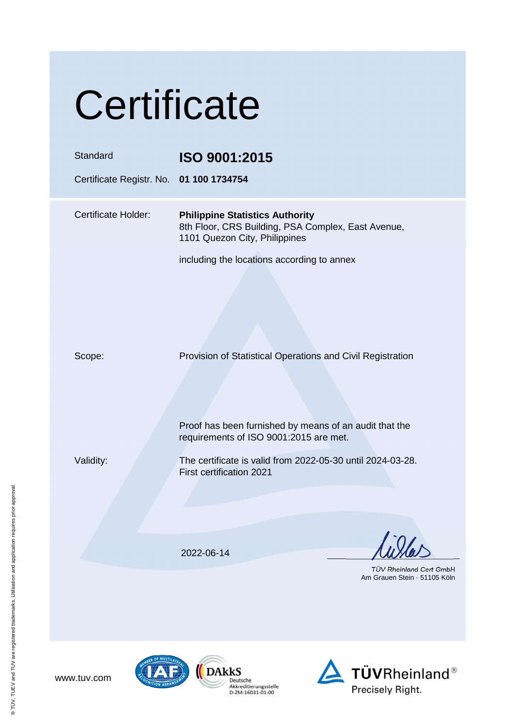| Certificate                                                                                                                   |  |
|-------------------------------------------------------------------------------------------------------------------------------|--|
| ISO 9001:2015<br>Certificate Registr. No. 01 100 1734754                                                                      |  |
| <b>Philippine Statistics Authority</b><br>8th Floor, CRS Building, PSA Complex, East Avenue,<br>1101 Quezon City, Philippines |  |
| including the locations according to annex                                                                                    |  |
| Provision of Statistical Operations and Civil Registration                                                                    |  |
| Proof has been furnished by means of an audit that the<br>requirements of ISO 9001:2015 are met.                              |  |
| The certificate is valid from 2022-05-30 until 2024-03-28.<br><b>First certification 2021</b>                                 |  |
| 2022-06-14                                                                                                                    |  |
| TÜV Rheinland Cert GmbH<br>Am Grauen Stein 51105 Köln                                                                         |  |
|                                                                                                                               |  |





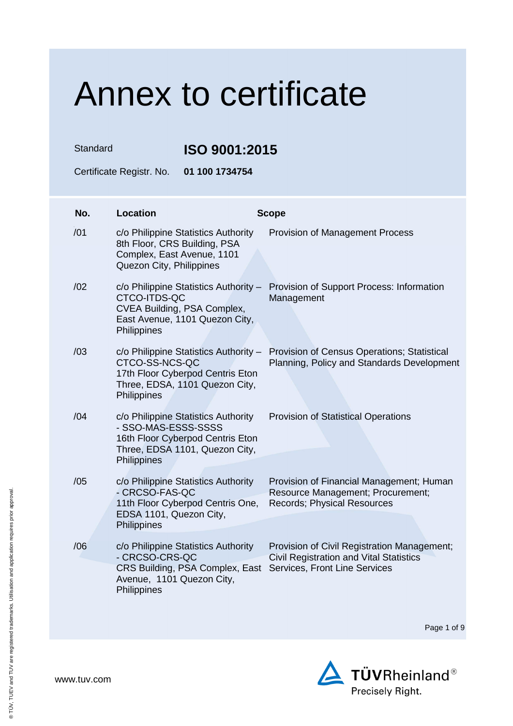Standard **ISO 9001:2015** 

Certificate Registr. No. **01 100 1734754** 

| No. | <b>Location</b>                                                                                                                                 | <b>Scope</b>                                                                                                                   |
|-----|-------------------------------------------------------------------------------------------------------------------------------------------------|--------------------------------------------------------------------------------------------------------------------------------|
| /01 | c/o Philippine Statistics Authority<br>8th Floor, CRS Building, PSA<br>Complex, East Avenue, 1101<br>Quezon City, Philippines                   | <b>Provision of Management Process</b>                                                                                         |
| /02 | c/o Philippine Statistics Authority -<br>CTCO-ITDS-QC<br>CVEA Building, PSA Complex,<br>East Avenue, 1101 Quezon City,<br>Philippines           | Provision of Support Process: Information<br>Management                                                                        |
| /03 | c/o Philippine Statistics Authority -<br>CTCO-SS-NCS-QC<br>17th Floor Cyberpod Centris Eton<br>Three, EDSA, 1101 Quezon City,<br>Philippines    | Provision of Census Operations; Statistical<br>Planning, Policy and Standards Development                                      |
| /04 | c/o Philippine Statistics Authority<br>- SSO-MAS-ESSS-SSSS<br>16th Floor Cyberpod Centris Eton<br>Three, EDSA 1101, Quezon City,<br>Philippines | <b>Provision of Statistical Operations</b>                                                                                     |
| /05 | c/o Philippine Statistics Authority<br>- CRCSO-FAS-QC<br>11th Floor Cyberpod Centris One,<br>EDSA 1101, Quezon City,<br>Philippines             | Provision of Financial Management; Human<br>Resource Management; Procurement;<br>Records; Physical Resources                   |
| /06 | c/o Philippine Statistics Authority<br>- CRCSO-CRS-QC<br>CRS Building, PSA Complex, East<br>Avenue, 1101 Quezon City,<br>Philippines            | Provision of Civil Registration Management;<br><b>Civil Registration and Vital Statistics</b><br>Services, Front Line Services |

Page 1 of 9

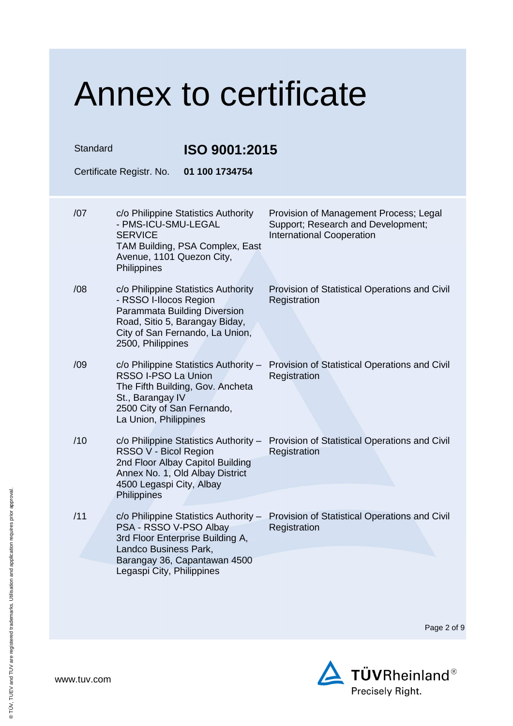#### Annex to certificate Standard **ISO 9001:2015**  Certificate Registr. No. **01 100 1734754**  /07 c/o Philippine Statistics Authority - PMS-ICU-SMU-LEGAL **SERVICE** TAM Building, PSA Complex, East Avenue, 1101 Quezon City, **Philippines** Provision of Management Process; Legal Support; Research and Development; International Cooperation /08 c/o Philippine Statistics Authority - RSSO I-Ilocos Region Parammata Building Diversion Road, Sitio 5, Barangay Biday, City of San Fernando, La Union, 2500, Philippines Provision of Statistical Operations and Civil **Registration** /09 c/o Philippine Statistics Authority – RSSO I-PSO La Union The Fifth Building, Gov. Ancheta St., Barangay IV 2500 City of San Fernando, La Union, Philippines Provision of Statistical Operations and Civil **Registration** /10 c/o Philippine Statistics Authority – Provision of Statistical Operations and Civil RSSO V - Bicol Region 2nd Floor Albay Capitol Building Annex No. 1, Old Albay District 4500 Legaspi City, Albay **Philippines Registration** /11 c/o Philippine Statistics Authority – Provision of Statistical Operations and Civil PSA - RSSO V-PSO Albay 3rd Floor Enterprise Building A, Landco Business Park, Barangay 36, Capantawan 4500 Legaspi City, Philippines **Registration**

Page 2 of 9

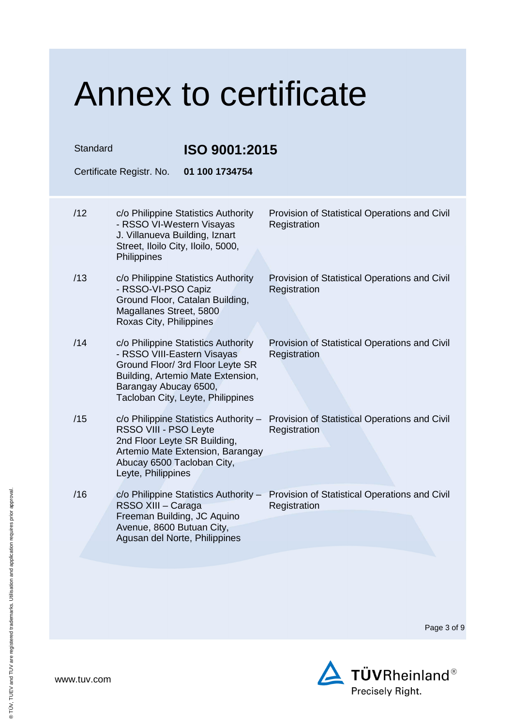| Standard | <b>ISO 9001:2015</b><br>Certificate Registr. No.<br>01 100 1734754                                                                                                                                        |                                                               |
|----------|-----------------------------------------------------------------------------------------------------------------------------------------------------------------------------------------------------------|---------------------------------------------------------------|
| /12      | c/o Philippine Statistics Authority<br>- RSSO VI-Western Visayas<br>J. Villanueva Building, Iznart<br>Street, Iloilo City, Iloilo, 5000,<br>Philippines                                                   | Provision of Statistical Operations and Civil<br>Registration |
| /13      | c/o Philippine Statistics Authority<br>- RSSO-VI-PSO Capiz<br>Ground Floor, Catalan Building,<br>Magallanes Street, 5800<br>Roxas City, Philippines                                                       | Provision of Statistical Operations and Civil<br>Registration |
| /14      | c/o Philippine Statistics Authority<br>- RSSO VIII-Eastern Visayas<br>Ground Floor/ 3rd Floor Leyte SR<br>Building, Artemio Mate Extension,<br>Barangay Abucay 6500,<br>Tacloban City, Leyte, Philippines | Provision of Statistical Operations and Civil<br>Registration |
| /15      | c/o Philippine Statistics Authority -<br>RSSO VIII - PSO Leyte<br>2nd Floor Leyte SR Building,<br>Artemio Mate Extension, Barangay<br>Abucay 6500 Tacloban City,<br>Leyte, Philippines                    | Provision of Statistical Operations and Civil<br>Registration |
| /16      | c/o Philippine Statistics Authority -<br>RSSO XIII - Caraga<br>Freeman Building, JC Aquino<br>Avenue, 8600 Butuan City,<br>Agusan del Norte, Philippines                                                  | Provision of Statistical Operations and Civil<br>Registration |
|          |                                                                                                                                                                                                           |                                                               |

Page 3 of 9

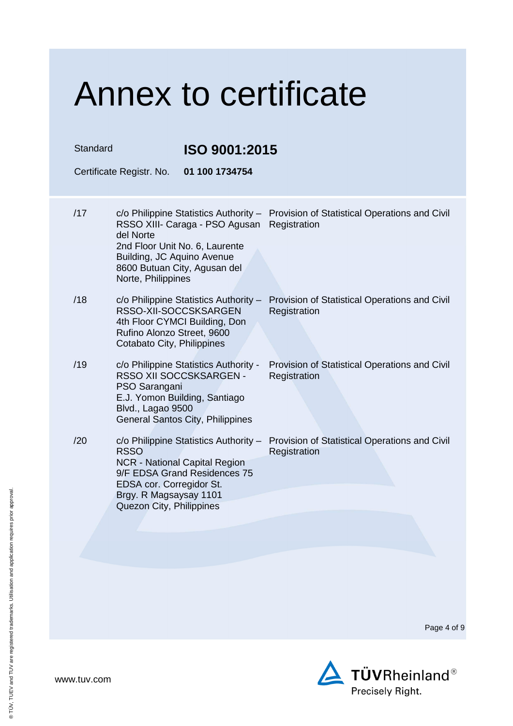Standard **ISO 9001:2015** 

Certificate Registr. No. **01 100 1734754** 

- /17 c/o Philippine Statistics Authority Provision of Statistical Operations and Civil RSSO XIII- Caraga - PSO Agusan Registration del Norte 2nd Floor Unit No. 6, Laurente Building, JC Aquino Avenue 8600 Butuan City, Agusan del Norte, Philippines /18 c/o Philippine Statistics Authority – Provision of Statistical Operations and Civil RSSO-XII-SOCCSKSARGEN 4th Floor CYMCI Building, Don Rufino Alonzo Street, 9600 Cotabato City, Philippines **Registration**
- /19 c/o Philippine Statistics Authority RSSO XII SOCCSKSARGEN - PSO Sarangani E.J. Yomon Building, Santiago Blvd., Lagao 9500 General Santos City, Philippines
- /20 c/o Philippine Statistics Authority RSSO NCR - National Capital Region 9/F EDSA Grand Residences 75 EDSA cor. Corregidor St. Brgy. R Magsaysay 1101 Quezon City, Philippines

Provision of Statistical Operations and Civil **Registration** 

Provision of Statistical Operations and Civil **Registration** 

Page 4 of 9

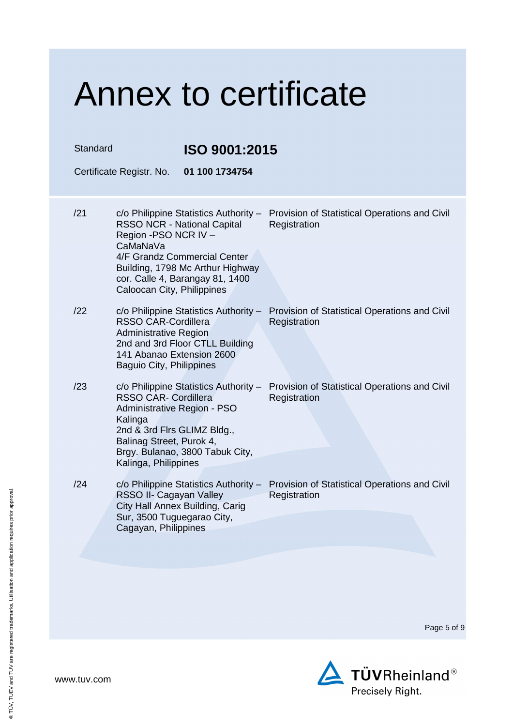|  | Annex to certificate |  |  |
|--|----------------------|--|--|
|--|----------------------|--|--|

| Standard |                                                                                                                                                                                                                                                         | ISO 9001:2015  |                                                                                                     |
|----------|---------------------------------------------------------------------------------------------------------------------------------------------------------------------------------------------------------------------------------------------------------|----------------|-----------------------------------------------------------------------------------------------------|
|          | Certificate Registr. No.                                                                                                                                                                                                                                | 01 100 1734754 |                                                                                                     |
| /21      | $c$ /o Philippine Statistics Authority –<br><b>RSSO NCR - National Capital</b><br>Region -PSO NCR IV -<br>CaMaNaVa<br>4/F Grandz Commercial Center<br>Building, 1798 Mc Arthur Highway<br>cor. Calle 4, Barangay 81, 1400<br>Caloocan City, Philippines |                | Provision of Statistical Operations and Civil<br>Registration                                       |
| /22      | <b>RSSO CAR-Cordillera</b><br><b>Administrative Region</b><br>2nd and 3rd Floor CTLL Building<br>141 Abanao Extension 2600<br><b>Baguio City, Philippines</b>                                                                                           |                | c/o Philippine Statistics Authority - Provision of Statistical Operations and Civil<br>Registration |
| /23      | <b>RSSO CAR- Cordillera</b><br>Administrative Region - PSO<br>Kalinga<br>2nd & 3rd Firs GLIMZ Bldg.,<br>Balinag Street, Purok 4,<br>Brgy. Bulanao, 3800 Tabuk City,<br>Kalinga, Philippines                                                             |                | c/o Philippine Statistics Authority - Provision of Statistical Operations and Civil<br>Registration |
| /24      | RSSO II- Cagayan Valley<br>City Hall Annex Building, Carig<br>Sur, 3500 Tuguegarao City,<br>Cagayan, Philippines                                                                                                                                        |                | c/o Philippine Statistics Authority - Provision of Statistical Operations and Civil<br>Registration |
|          |                                                                                                                                                                                                                                                         |                |                                                                                                     |

Page 5 of 9

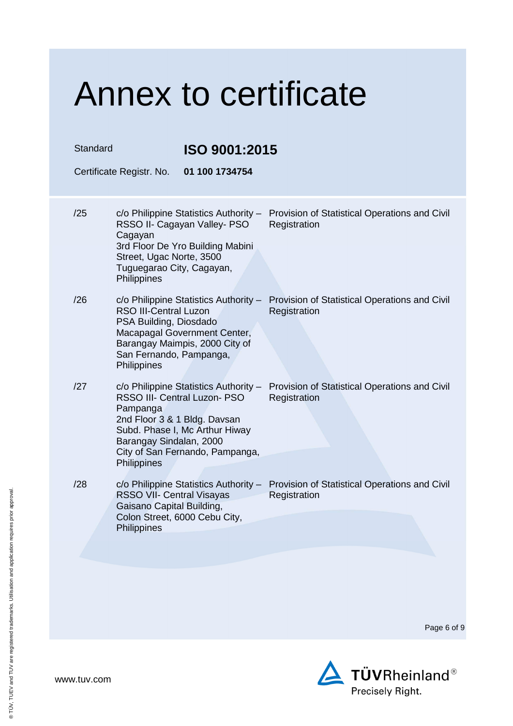| <b>Annex to certificate</b> |                                                                                                                                                                                                                                  |                                                               |
|-----------------------------|----------------------------------------------------------------------------------------------------------------------------------------------------------------------------------------------------------------------------------|---------------------------------------------------------------|
| Standard                    | ISO 9001:2015                                                                                                                                                                                                                    |                                                               |
| Certificate Registr. No.    | 01 100 1734754                                                                                                                                                                                                                   |                                                               |
| /25                         | $c$ /o Philippine Statistics Authority –<br>RSSO II- Cagayan Valley- PSO<br>Cagayan<br>3rd Floor De Yro Building Mabini                                                                                                          | Provision of Statistical Operations and Civil<br>Registration |
|                             | Street, Ugac Norte, 3500<br>Tuguegarao City, Cagayan,<br>Philippines                                                                                                                                                             |                                                               |
| /26                         | c/o Philippine Statistics Authority -<br><b>RSO III-Central Luzon</b><br>PSA Building, Diosdado<br>Macapagal Government Center,<br>Barangay Maimpis, 2000 City of<br>San Fernando, Pampanga,<br>Philippines                      | Provision of Statistical Operations and Civil<br>Registration |
| /27                         | c/o Philippine Statistics Authority -<br>RSSO III- Central Luzon- PSO<br>Pampanga<br>2nd Floor 3 & 1 Bldg. Davsan<br>Subd. Phase I, Mc Arthur Hiway<br>Barangay Sindalan, 2000<br>City of San Fernando, Pampanga,<br>Philippines | Provision of Statistical Operations and Civil<br>Registration |
| /28                         | c/o Philippine Statistics Authority -<br><b>RSSO VII- Central Visayas</b><br>Gaisano Capital Building,<br>Colon Street, 6000 Cebu City,<br>Philippines                                                                           | Provision of Statistical Operations and Civil<br>Registration |
|                             |                                                                                                                                                                                                                                  |                                                               |

Page 6 of 9

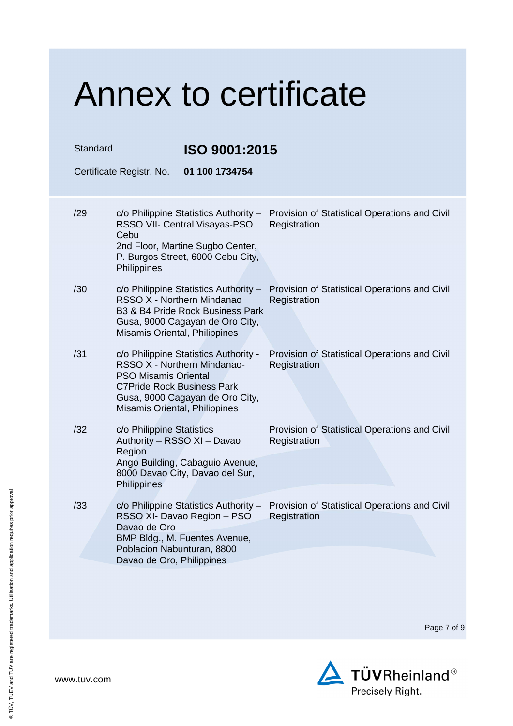| Standard | ISO 9001:2015<br>01 100 1734754<br>Certificate Registr. No.                                                                                                                                                  |                                                               |
|----------|--------------------------------------------------------------------------------------------------------------------------------------------------------------------------------------------------------------|---------------------------------------------------------------|
| /29      | c/o Philippine Statistics Authority -<br>RSSO VII- Central Visayas-PSO<br>Cebu<br>2nd Floor, Martine Sugbo Center,<br>P. Burgos Street, 6000 Cebu City,<br>Philippines                                       | Provision of Statistical Operations and Civil<br>Registration |
| /30      | c/o Philippine Statistics Authority -<br>RSSO X - Northern Mindanao<br>B3 & B4 Pride Rock Business Park<br>Gusa, 9000 Cagayan de Oro City,<br>Misamis Oriental, Philippines                                  | Provision of Statistical Operations and Civil<br>Registration |
| /31      | c/o Philippine Statistics Authority -<br>RSSO X - Northern Mindanao-<br><b>PSO Misamis Oriental</b><br><b>C7Pride Rock Business Park</b><br>Gusa, 9000 Cagayan de Oro City,<br>Misamis Oriental, Philippines | Provision of Statistical Operations and Civil<br>Registration |
| /32      | c/o Philippine Statistics<br>Authority - RSSO XI - Davao<br>Region<br>Ango Building, Cabaguio Avenue,<br>8000 Davao City, Davao del Sur,<br>Philippines                                                      | Provision of Statistical Operations and Civil<br>Registration |
| /33      | c/o Philippine Statistics Authority -<br>RSSO XI- Davao Region - PSO<br>Davao de Oro<br>BMP Bldg., M. Fuentes Avenue,<br>Poblacion Nabunturan, 8800<br>Davao de Oro, Philippines                             | Provision of Statistical Operations and Civil<br>Registration |

Page 7 of 9

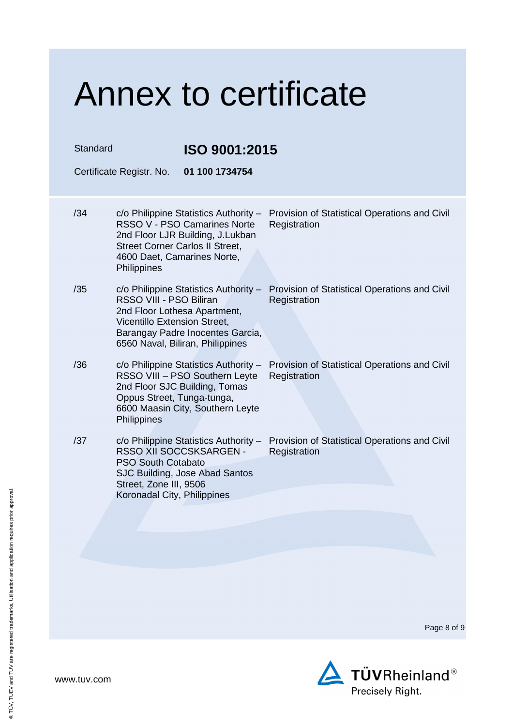| Standard | ISO 9001:2015<br>Certificate Registr. No.<br>01 100 1734754                                                                                                                                                                   |                                                               |
|----------|-------------------------------------------------------------------------------------------------------------------------------------------------------------------------------------------------------------------------------|---------------------------------------------------------------|
| /34      | c/o Philippine Statistics Authority -<br>RSSO V - PSO Camarines Norte<br>2nd Floor LJR Building, J.Lukban<br><b>Street Corner Carlos II Street,</b>                                                                           | Provision of Statistical Operations and Civil<br>Registration |
| /35      | 4600 Daet, Camarines Norte,<br>Philippines<br>c/o Philippine Statistics Authority -<br>RSSO VIII - PSO Biliran<br>2nd Floor Lothesa Apartment,<br>Vicentillo Extension Street,<br>Barangay Padre Inocentes Garcia,            | Provision of Statistical Operations and Civil<br>Registration |
| /36      | 6560 Naval, Biliran, Philippines<br>c/o Philippine Statistics Authority -<br>RSSO VIII - PSO Southern Leyte<br>2nd Floor SJC Building, Tomas<br>Oppus Street, Tunga-tunga,<br>6600 Maasin City, Southern Leyte<br>Philippines | Provision of Statistical Operations and Civil<br>Registration |
| /37      | c/o Philippine Statistics Authority -<br>RSSO XII SOCCSKSARGEN -<br><b>PSO South Cotabato</b><br>SJC Building, Jose Abad Santos<br>Street, Zone III, 9506<br>Koronadal City, Philippines                                      | Provision of Statistical Operations and Civil<br>Registration |
|          |                                                                                                                                                                                                                               |                                                               |
|          |                                                                                                                                                                                                                               |                                                               |

Page 8 of 9

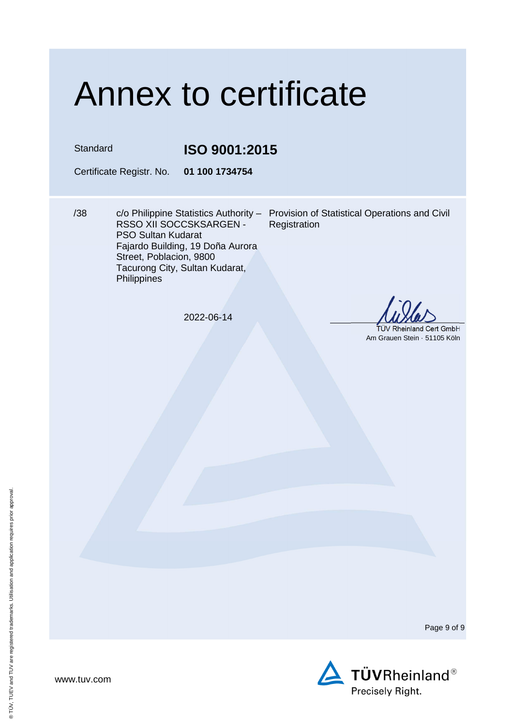Standard **ISO 9001:2015** 

Certificate Registr. No. **01 100 1734754** 

/38 c/o Philippine Statistics Authority – Provision of Statistical Operations and Civil RSSO XII SOCCSKSARGEN - PSO Sultan Kudarat Fajardo Building, 19 Doña Aurora Street, Poblacion, 9800 Tacurong City, Sultan Kudarat, **Philippines** 

**Registration** 

2022-06-14

 TÜV Rheinland Cert GmbH Am Grauen Stein · 51105 Köln

Page 9 of 9

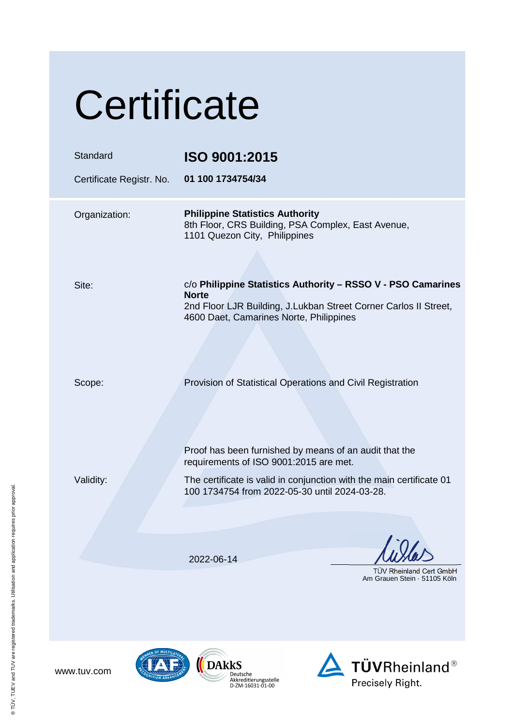| Certificate                          |                                                                                                                                                                                             |
|--------------------------------------|---------------------------------------------------------------------------------------------------------------------------------------------------------------------------------------------|
| Standard<br>Certificate Registr. No. | ISO 9001:2015<br>01 100 1734754/34                                                                                                                                                          |
| Organization:                        | <b>Philippine Statistics Authority</b><br>8th Floor, CRS Building, PSA Complex, East Avenue,<br>1101 Quezon City, Philippines                                                               |
| Site:                                | c/o Philippine Statistics Authority - RSSO V - PSO Camarines<br><b>Norte</b><br>2nd Floor LJR Building, J.Lukban Street Corner Carlos II Street,<br>4600 Daet, Camarines Norte, Philippines |
| Scope:                               | Provision of Statistical Operations and Civil Registration                                                                                                                                  |
| Validity:                            | Proof has been furnished by means of an audit that the<br>requirements of ISO 9001:2015 are met.<br>The certificate is valid in conjunction with the main certificate 01                    |
|                                      | 100 1734754 from 2022-05-30 until 2024-03-28.                                                                                                                                               |
|                                      | 2022-06-14<br><b>TUV Rheinland Cert GmbH</b><br>Am Grauen Stein - 51105 Köln                                                                                                                |
| ER OF MULTILATE                      |                                                                                                                                                                                             |



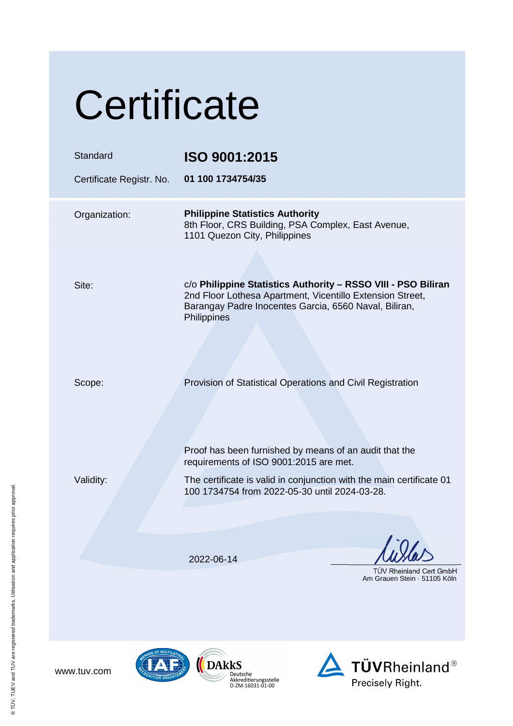| Certificate                          |                                                                                                                                                                                                                           |
|--------------------------------------|---------------------------------------------------------------------------------------------------------------------------------------------------------------------------------------------------------------------------|
| Standard<br>Certificate Registr. No. | ISO 9001:2015<br>01 100 1734754/35                                                                                                                                                                                        |
| Organization:                        | <b>Philippine Statistics Authority</b><br>8th Floor, CRS Building, PSA Complex, East Avenue,<br>1101 Quezon City, Philippines                                                                                             |
| Site:                                | c/o Philippine Statistics Authority - RSSO VIII - PSO Biliran<br>2nd Floor Lothesa Apartment, Vicentillo Extension Street,<br>Barangay Padre Inocentes Garcia, 6560 Naval, Biliran,<br>Philippines                        |
| Scope:                               | Provision of Statistical Operations and Civil Registration                                                                                                                                                                |
| Validity:                            | Proof has been furnished by means of an audit that the<br>requirements of ISO 9001:2015 are met.<br>The certificate is valid in conjunction with the main certificate 01<br>100 1734754 from 2022-05-30 until 2024-03-28. |
|                                      | 2022-06-14                                                                                                                                                                                                                |
|                                      | <b>TÜV Rheinland Cert GmbH</b><br>Am Grauen Stein - 51105 Köln                                                                                                                                                            |
| <b>RER OF MULTILAT</b>               |                                                                                                                                                                                                                           |



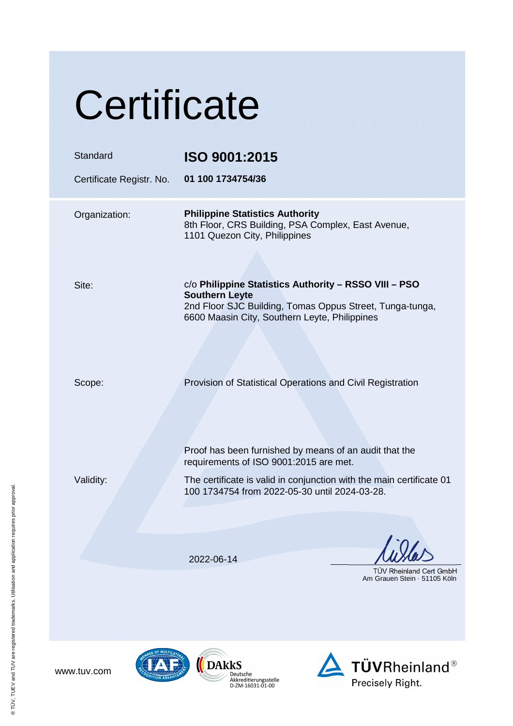| Certificate                          |                                                                                                                                                                                                                           |
|--------------------------------------|---------------------------------------------------------------------------------------------------------------------------------------------------------------------------------------------------------------------------|
| Standard<br>Certificate Registr. No. | ISO 9001:2015<br>01 100 1734754/36                                                                                                                                                                                        |
| Organization:                        | <b>Philippine Statistics Authority</b><br>8th Floor, CRS Building, PSA Complex, East Avenue,<br>1101 Quezon City, Philippines                                                                                             |
| Site:                                | c/o Philippine Statistics Authority - RSSO VIII - PSO<br><b>Southern Leyte</b><br>2nd Floor SJC Building, Tomas Oppus Street, Tunga-tunga,<br>6600 Maasin City, Southern Leyte, Philippines                               |
| Scope:                               | Provision of Statistical Operations and Civil Registration                                                                                                                                                                |
| Validity:                            | Proof has been furnished by means of an audit that the<br>requirements of ISO 9001:2015 are met.<br>The certificate is valid in conjunction with the main certificate 01<br>100 1734754 from 2022-05-30 until 2024-03-28. |
|                                      | 2022-06-14<br><b>TUV Rheinland Cert GmbH</b><br>Am Grauen Stein · 51105 Köln                                                                                                                                              |
| ER OF MULTILAT                       |                                                                                                                                                                                                                           |





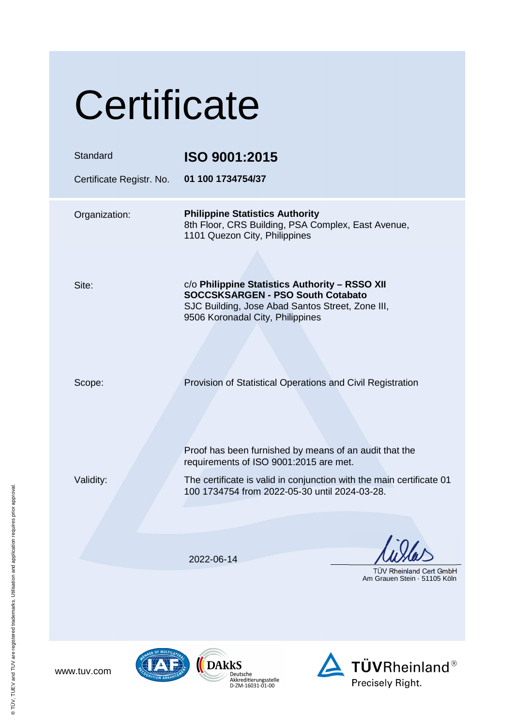| Certificate                          |                                                                                                                                                                                                                           |
|--------------------------------------|---------------------------------------------------------------------------------------------------------------------------------------------------------------------------------------------------------------------------|
| Standard<br>Certificate Registr. No. | ISO 9001:2015<br>01 100 1734754/37                                                                                                                                                                                        |
| Organization:                        | <b>Philippine Statistics Authority</b><br>8th Floor, CRS Building, PSA Complex, East Avenue,<br>1101 Quezon City, Philippines                                                                                             |
| Site:                                | c/o Philippine Statistics Authority - RSSO XII<br><b>SOCCSKSARGEN - PSO South Cotabato</b><br>SJC Building, Jose Abad Santos Street, Zone III,<br>9506 Koronadal City, Philippines                                        |
| Scope:                               | Provision of Statistical Operations and Civil Registration                                                                                                                                                                |
| Validity:                            | Proof has been furnished by means of an audit that the<br>requirements of ISO 9001:2015 are met.<br>The certificate is valid in conjunction with the main certificate 01<br>100 1734754 from 2022-05-30 until 2024-03-28. |
|                                      |                                                                                                                                                                                                                           |
|                                      | 2022-06-14<br><b>TUV Rheinland Cert GmbH</b><br>Am Grauen Stein · 51105 Köln                                                                                                                                              |
| ER OF MULTILAT                       |                                                                                                                                                                                                                           |